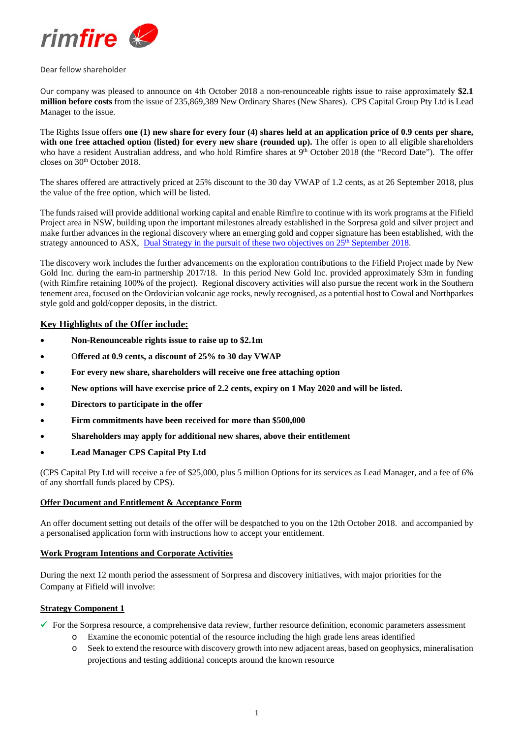

#### Dear fellow shareholder

Our company was pleased to announce on 4th October 2018 a non-renounceable rights issue to raise approximately **\$2.1 million before costs** from the issue of 235,869,389 New Ordinary Shares (New Shares). CPS Capital Group Pty Ltd is Lead Manager to the issue.

The Rights Issue offers **one (1) new share for every four (4) shares held at an application price of 0.9 cents per share, with one free attached option (listed) for every new share (rounded up).** The offer is open to all eligible shareholders who have a resident Australian address, and who hold Rimfire shares at 9<sup>th</sup> October 2018 (the "Record Date"). The offer closes on 30<sup>th</sup> October 2018.

The shares offered are attractively priced at 25% discount to the 30 day VWAP of 1.2 cents, as at 26 September 2018, plus the value of the free option, which will be listed.

The funds raised will provide additional working capital and enable Rimfire to continue with its work programs at the Fifield Project area in NSW, building upon the important milestones already established in the Sorpresa gold and silver project and make further advances in the regional discovery where an emerging gold and copper signature has been established, with the strategy announced to ASX, Dual Strategy in the pursuit of these two objectives on 25<sup>th</sup> September 2018.

The discovery work includes the further advancements on the exploration contributions to the Fifield Project made by New Gold Inc. during the earn-in partnership 2017/18. In this period New Gold Inc. provided approximately \$3m in funding (with Rimfire retaining 100% of the project). Regional discovery activities will also pursue the recent work in the Southern tenement area, focused on the Ordovician volcanic age rocks, newly recognised, as a potential host to Cowal and Northparkes style gold and gold/copper deposits, in the district.

# **Key Highlights of the Offer include:**

- **Non-Renounceable rights issue to raise up to \$2.1m**
- O**ffered at 0.9 cents, a discount of 25% to 30 day VWAP**
- **For every new share, shareholders will receive one free attaching option**
- **New options will have exercise price of 2.2 cents, expiry on 1 May 2020 and will be listed.**
- **Directors to participate in the offer**
- **Firm commitments have been received for more than \$500,000**
- **Shareholders may apply for additional new shares, above their entitlement**
- **Lead Manager CPS Capital Pty Ltd**

(CPS Capital Pty Ltd will receive a fee of \$25,000, plus 5 million Options for its services as Lead Manager, and a fee of 6% of any shortfall funds placed by CPS).

# **Offer Document and Entitlement & Acceptance Form**

An offer document setting out details of the offer will be despatched to you on the 12th October 2018. and accompanied by a personalised application form with instructions how to accept your entitlement.

#### **Work Program Intentions and Corporate Activities**

During the next 12 month period the assessment of Sorpresa and discovery initiatives, with major priorities for the Company at Fifield will involve:

### **Strategy Component 1**

 $\checkmark$  For the Sorpresa resource, a comprehensive data review, further resource definition, economic parameters assessment

- o Examine the economic potential of the resource including the high grade lens areas identified
- o Seek to extend the resource with discovery growth into new adjacent areas, based on geophysics, mineralisation projections and testing additional concepts around the known resource